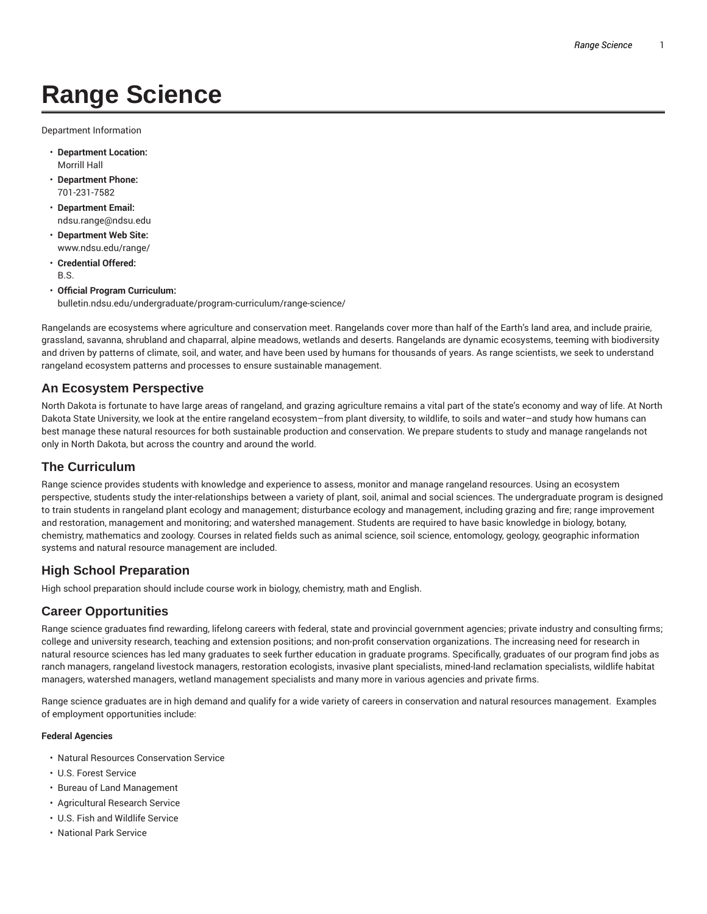# **Range Science**

Department Information

- **Department Location:** Morrill Hall
- **Department Phone:** 701-231-7582
- **Department Email:** ndsu.range@ndsu.edu
- **Department Web Site:** www.ndsu.edu/range/
- **Credential Offered:** B.S.
- **Official Program Curriculum:** bulletin.ndsu.edu/undergraduate/program-curriculum/range-science/

Rangelands are ecosystems where agriculture and conservation meet. Rangelands cover more than half of the Earth's land area, and include prairie, grassland, savanna, shrubland and chaparral, alpine meadows, wetlands and deserts. Rangelands are dynamic ecosystems, teeming with biodiversity and driven by patterns of climate, soil, and water, and have been used by humans for thousands of years. As range scientists, we seek to understand rangeland ecosystem patterns and processes to ensure sustainable management.

## **An Ecosystem Perspective**

North Dakota is fortunate to have large areas of rangeland, and grazing agriculture remains a vital part of the state's economy and way of life. At North Dakota State University, we look at the entire rangeland ecosystem–from plant diversity, to wildlife, to soils and water–and study how humans can best manage these natural resources for both sustainable production and conservation. We prepare students to study and manage rangelands not only in North Dakota, but across the country and around the world.

# **The Curriculum**

Range science provides students with knowledge and experience to assess, monitor and manage rangeland resources. Using an ecosystem perspective, students study the inter-relationships between a variety of plant, soil, animal and social sciences. The undergraduate program is designed to train students in rangeland plant ecology and management; disturbance ecology and management, including grazing and fire; range improvement and restoration, management and monitoring; and watershed management. Students are required to have basic knowledge in biology, botany, chemistry, mathematics and zoology. Courses in related fields such as animal science, soil science, entomology, geology, geographic information systems and natural resource management are included.

## **High School Preparation**

High school preparation should include course work in biology, chemistry, math and English.

## **Career Opportunities**

Range science graduates find rewarding, lifelong careers with federal, state and provincial government agencies; private industry and consulting firms; college and university research, teaching and extension positions; and non-profit conservation organizations. The increasing need for research in natural resource sciences has led many graduates to seek further education in graduate programs. Specifically, graduates of our program find jobs as ranch managers, rangeland livestock managers, restoration ecologists, invasive plant specialists, mined-land reclamation specialists, wildlife habitat managers, watershed managers, wetland management specialists and many more in various agencies and private firms.

Range science graduates are in high demand and qualify for a wide variety of careers in conservation and natural resources management. Examples of employment opportunities include:

#### **Federal Agencies**

- Natural Resources Conservation Service
- U.S. Forest Service
- Bureau of Land Management
- Agricultural Research Service
- U.S. Fish and Wildlife Service
- National Park Service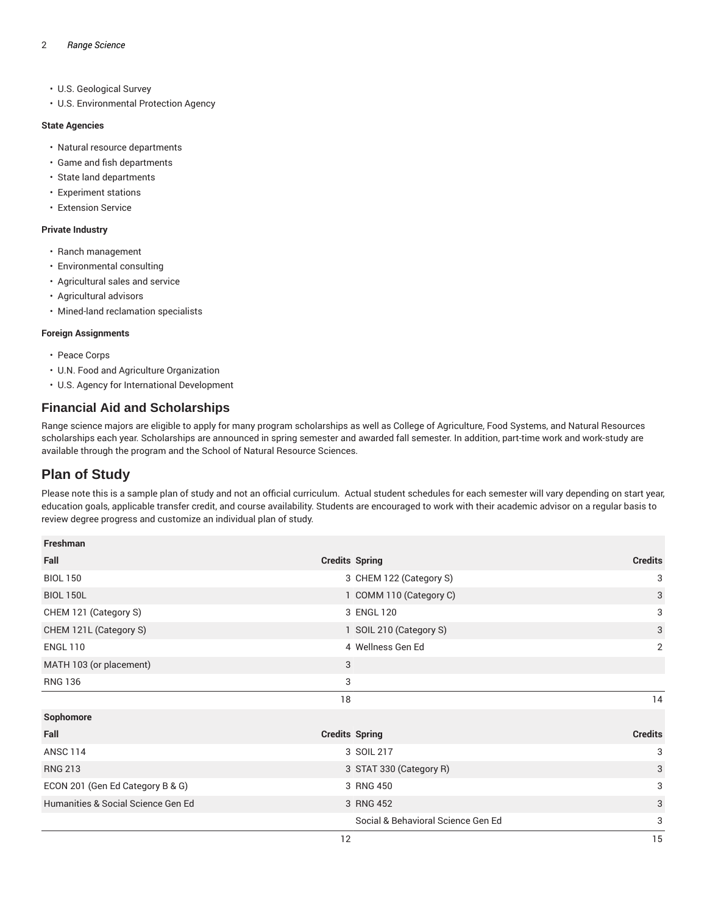- U.S. Geological Survey
- U.S. Environmental Protection Agency

#### **State Agencies**

- Natural resource departments
- Game and fish departments
- State land departments
- Experiment stations
- Extension Service

#### **Private Industry**

- Ranch management
- Environmental consulting
- Agricultural sales and service
- Agricultural advisors
- Mined-land reclamation specialists

#### **Foreign Assignments**

- Peace Corps
- U.N. Food and Agriculture Organization
- U.S. Agency for International Development

# **Financial Aid and Scholarships**

Range science majors are eligible to apply for many program scholarships as well as College of Agriculture, Food Systems, and Natural Resources scholarships each year. Scholarships are announced in spring semester and awarded fall semester. In addition, part-time work and work-study are available through the program and the School of Natural Resource Sciences.

# **Plan of Study**

Please note this is a sample plan of study and not an official curriculum. Actual student schedules for each semester will vary depending on start year, education goals, applicable transfer credit, and course availability. Students are encouraged to work with their academic advisor on a regular basis to review degree progress and customize an individual plan of study.

| Freshman                           |                                    |                |
|------------------------------------|------------------------------------|----------------|
| Fall                               | <b>Credits Spring</b>              | <b>Credits</b> |
| <b>BIOL 150</b>                    | 3 CHEM 122 (Category S)            | 3              |
| <b>BIOL 150L</b>                   | 1 COMM 110 (Category C)            | 3              |
| CHEM 121 (Category S)              | 3 ENGL 120                         | 3              |
| CHEM 121L (Category S)             | 1 SOIL 210 (Category S)            | 3              |
| <b>ENGL 110</b>                    | 4 Wellness Gen Ed                  | 2              |
| MATH 103 (or placement)            | 3                                  |                |
| <b>RNG 136</b>                     | 3                                  |                |
|                                    | 18                                 | 14             |
| Sophomore                          |                                    |                |
| Fall                               | <b>Credits Spring</b>              | <b>Credits</b> |
| <b>ANSC 114</b>                    | 3 SOIL 217                         | 3              |
| <b>RNG 213</b>                     | 3 STAT 330 (Category R)            | 3              |
| ECON 201 (Gen Ed Category B & G)   | 3 RNG 450                          | 3              |
| Humanities & Social Science Gen Ed | 3 RNG 452                          | 3              |
|                                    | Social & Behavioral Science Gen Ed | 3              |
|                                    | 12                                 | 15             |